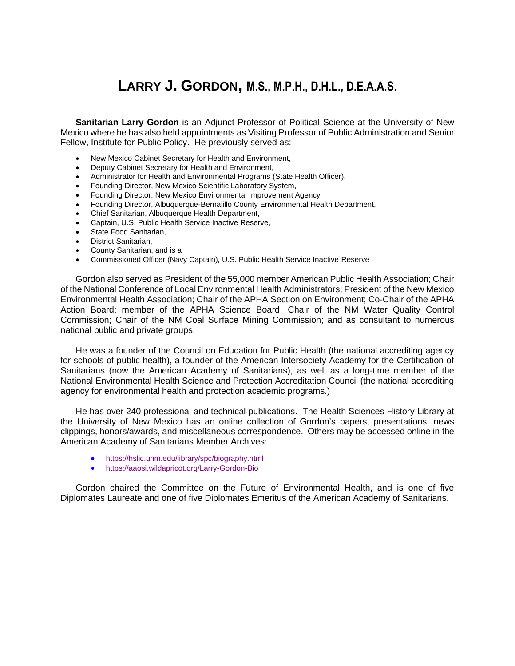# **LARRY J. GORDON, M.S., M.P.H., D.H.L., D.E.A.A.S.**

**Sanitarian Larry Gordon** is an Adjunct Professor of Political Science at the University of New Mexico where he has also held appointments as Visiting Professor of Public Administration and Senior Fellow, Institute for Public Policy. He previously served as:

- New Mexico Cabinet Secretary for Health and Environment,
- Deputy Cabinet Secretary for Health and Environment,
- Administrator for Health and Environmental Programs (State Health Officer),
- Founding Director, New Mexico Scientific Laboratory System,
- Founding Director, New Mexico Environmental Improvement Agency
- Founding Director, Albuquerque-Bernalillo County Environmental Health Department,
- Chief Sanitarian, Albuquerque Health Department,
- Captain, U.S. Public Health Service Inactive Reserve,
- State Food Sanitarian,
- District Sanitarian,
- County Sanitarian, and is a
- Commissioned Officer (Navy Captain), U.S. Public Health Service Inactive Reserve

Gordon also served as President of the 55,000 member American Public Health Association; Chair of the National Conference of Local Environmental Health Administrators; President of the New Mexico Environmental Health Association; Chair of the APHA Section on Environment; Co-Chair of the APHA Action Board; member of the APHA Science Board; Chair of the NM Water Quality Control Commission; Chair of the NM Coal Surface Mining Commission; and as consultant to numerous national public and private groups.

He was a founder of the Council on Education for Public Health (the national accrediting agency for schools of public health), a founder of the American Intersociety Academy for the Certification of Sanitarians (now the American Academy of Sanitarians), as well as a long-time member of the National Environmental Health Science and Protection Accreditation Council (the national accrediting agency for environmental health and protection academic programs.)

He has over 240 professional and technical publications. The Health Sciences History Library at the University of New Mexico has an online collection of Gordon's papers, presentations, news clippings, honors/awards, and miscellaneous correspondence. Others may be accessed online in the American Academy of Sanitarians Member Archives:

- <https://hslic.unm.edu/library/spc/biography.html>
- <https://aaosi.wildapricot.org/Larry-Gordon-Bio>

Gordon chaired the Committee on the Future of Environmental Health, and is one of five Diplomates Laureate and one of five Diplomates Emeritus of the American Academy of Sanitarians.